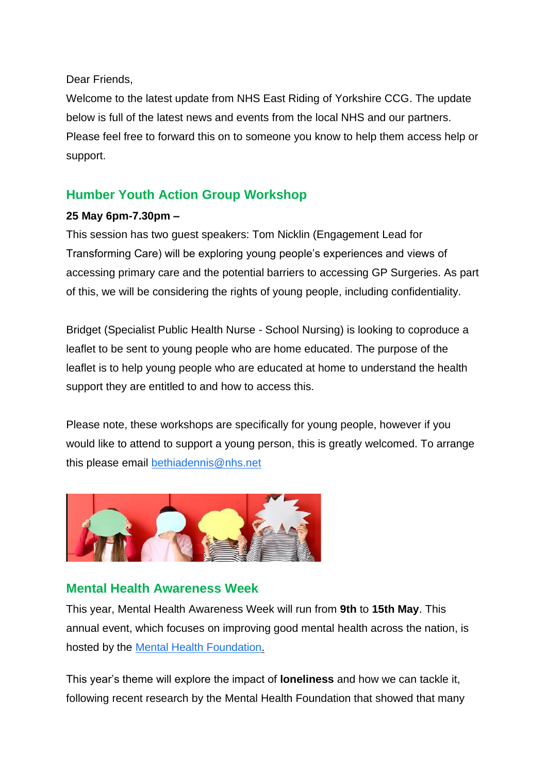Dear Friends,

Welcome to the latest update from NHS East Riding of Yorkshire CCG. The update below is full of the latest news and events from the local NHS and our partners. Please feel free to forward this on to someone you know to help them access help or support.

## **Humber Youth Action Group Workshop**

## **25 May 6pm-7.30pm –**

This session has two guest speakers: Tom Nicklin (Engagement Lead for Transforming Care) will be exploring young people's experiences and views of accessing primary care and the potential barriers to accessing GP Surgeries. As part of this, we will be considering the rights of young people, including confidentiality.

Bridget (Specialist Public Health Nurse - School Nursing) is looking to coproduce a leaflet to be sent to young people who are home educated. The purpose of the leaflet is to help young people who are educated at home to understand the health support they are entitled to and how to access this.

Please note, these workshops are specifically for young people, however if you would like to attend to support a young person, this is greatly welcomed. To arrange this please email [bethiadennis@nhs.net](mailto:bethiadennis@nhs.net)



## **Mental Health Awareness Week**

This year, Mental Health Awareness Week will run from **9th** to **15th May**. This annual event, which focuses on improving good mental health across the nation, is hosted by the [Mental Health Foundation.](http://links.e.phepartnerships.co.uk/els/v2/x_2zM29XkXc~/amFEemdOa3FkQXYyeVJUanEwVGU0WkFsUjhZd1ZCcDVwT2M5aE1lNlNtRTFwcXQ3TlU4bXFSOWRYSGljQ29QaGhOV1RlWGpSTnlOWmxzdnplZTBPM2x3QnRmNzE2WXdCTG10R3JCZTNaSVE9S0/)

This year's theme will explore the impact of **loneliness** and how we can tackle it, following recent research by the Mental Health Foundation that showed that many